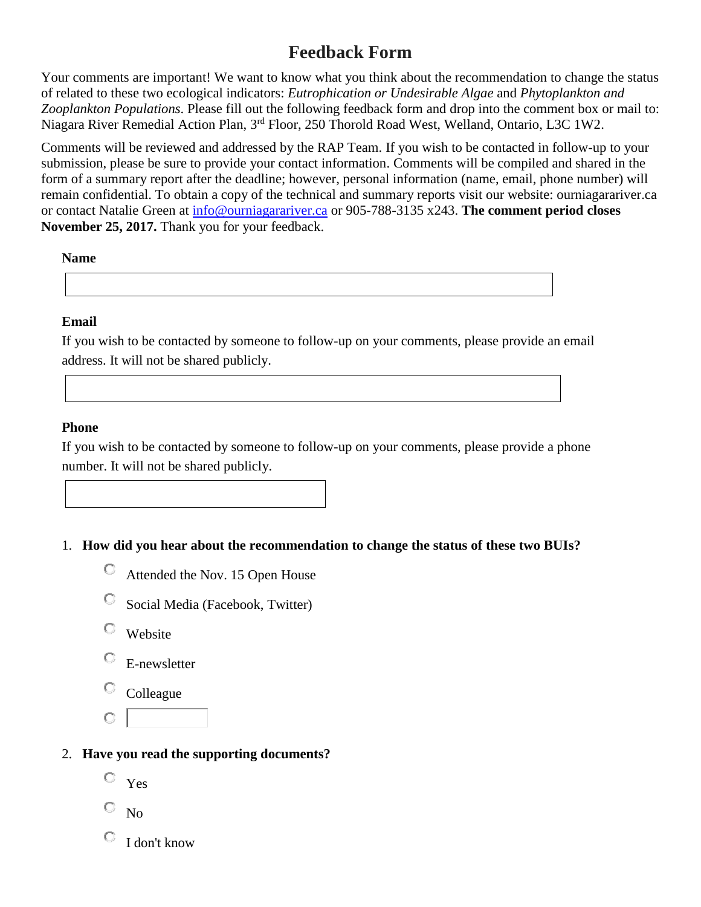# **Feedback Form**

Your comments are important! We want to know what you think about the recommendation to change the status of related to these two ecological indicators: *Eutrophication or Undesirable Algae* and *Phytoplankton and Zooplankton Populations*. Please fill out the following feedback form and drop into the comment box or mail to: Niagara River Remedial Action Plan, 3rd Floor, 250 Thorold Road West, Welland, Ontario, L3C 1W2.

Comments will be reviewed and addressed by the RAP Team. If you wish to be contacted in follow-up to your submission, please be sure to provide your contact information. Comments will be compiled and shared in the form of a summary report after the deadline; however, personal information (name, email, phone number) will remain confidential. To obtain a copy of the technical and summary reports visit our website: ourniagarariver.ca or contact Natalie Green at [info@ourniagarariver.ca](mailto:info@ourniagarariver.ca) or 905-788-3135 x243. **The comment period closes**  November 25, 2017. Thank you for your feedback.

**Name**

**Email**

If you wish to be contacted by someone to follow-up on your comments, please provide an email address. It will not be shared publicly.

#### **Phone**

If you wish to be contacted by someone to follow-up on your comments, please provide a phone number. It will not be shared publicly.

#### 1. **How did you hear about the recommendation to change the status of these two BUIs?**

- Attended the Nov. 15 Open House
- О Social Media (Facebook, Twitter)
- 0. Website
- E-newsletter
- O Colleague
- O

#### 2. **Have you read the supporting documents?**

- Yes
- $\overline{\mathbb{C}}$  No
- I don't know